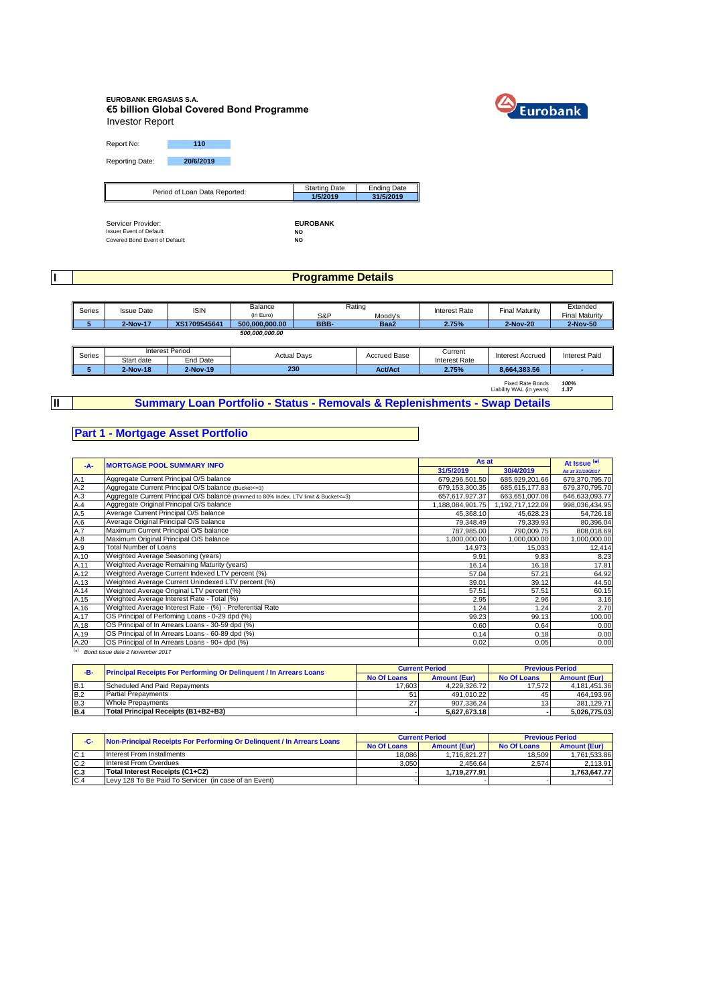# **EUROBANK ERGASIAS S.A. €5 billion Global Covered Bond Programme** Investor Report



Report No: **110** Reporting Date: **20/6/2019**

| Period of Loan Data Reported: | <b>Starting Date</b> | <b>Ending Date</b> |
|-------------------------------|----------------------|--------------------|
|                               | 1/5/2019             | 31/5/2019          |
|                               |                      |                    |

Servicer Provider: **Interpret of Default of Default Provider: FUROBANK**<br>Issuer Event of Default: **NO**<br>Covered Bond Event of Default: **NO** 

Γ

**I**

### **Programme Details**

|  | <b>Series</b> | Issue Date   | <b>ISIN</b>    | Balance |         | Rating        |          | Final Maturity        | Extended |
|--|---------------|--------------|----------------|---------|---------|---------------|----------|-----------------------|----------|
|  |               |              | in Euro)       | S&P     | Moodv's | Interest Rate |          | <b>Final Maturity</b> |          |
|  | 2-Nov-17      | XS1709545641 | 500.000.000.00 | BBB-    | Baa2    | 2.75%         | 2-Nov-20 | 2-Nov-50              |          |
|  |               |              | 500.000.000.00 |         |         |               |          |                       |          |

| Series |            | <b>Interest Period</b> | <b>Actual Davs</b> | Accrued Base   | Current              | Interest Accrued | <b>Interest Paid</b> |
|--------|------------|------------------------|--------------------|----------------|----------------------|------------------|----------------------|
|        | Start date | End Date               |                    |                | <b>Interest Rate</b> |                  |                      |
|        | 2-Nov-18   | 2-Nov-19               | 230                | <b>Act/Act</b> | 2.75%                | 8.664.383.56     |                      |

Fixed Rate Bonds *100%* Liability WAL (in years) *1.37*

**II**

### **Summary Loan Portfolio - Status - Removals & Replenishments - Swap Details**

#### **Part 1 - Mortgage Asset Portfolio**

| $-A-$ | <b>MORTGAGE POOL SUMMARY INFO</b>                                                       | As at            |                  | At Issue <sup>(*)</sup> |  |
|-------|-----------------------------------------------------------------------------------------|------------------|------------------|-------------------------|--|
|       |                                                                                         | 31/5/2019        | 30/4/2019        | As at 31/10/2017        |  |
| A.1   | Aggregate Current Principal O/S balance                                                 | 679,296,501.50   | 685,929,201.66   | 679,370,795.70          |  |
| A.2   | Aggregate Current Principal O/S balance (Bucket <= 3)                                   | 679,153,300.35   | 685, 615, 177.83 | 679,370,795.70          |  |
| A.3   | Aggregate Current Principal O/S balance (trimmed to 80% Index. LTV limit & Bucket <= 3) | 657,617,927.37   | 663,651,007.08   | 646,633,093.77          |  |
| A.4   | Aggregate Original Principal O/S balance                                                | 1,188,084,901.75 | 1,192,717,122.09 | 998,036,434.95          |  |
| A.5   | Average Current Principal O/S balance                                                   | 45,368.10        | 45,628.23        | 54,726.18               |  |
| A.6   | Average Original Principal O/S balance                                                  | 79,348.49        | 79,339.93        | 80,396.04               |  |
| A.7   | Maximum Current Principal O/S balance                                                   | 787.985.00       | 790,009.75       | 808,018.69              |  |
| A.8   | Maximum Original Principal O/S balance                                                  | 1,000,000.00     | 1,000,000.00     | 1,000,000.00            |  |
| A.9   | <b>Total Number of Loans</b>                                                            | 14,973           | 15,033           | 12,414                  |  |
| A.10  | Weighted Average Seasoning (years)                                                      | 9.91             | 9.83             | 8.23                    |  |
| A.11  | Weighted Average Remaining Maturity (years)                                             | 16.14            | 16.18            | 17.81                   |  |
| A.12  | Weighted Average Current Indexed LTV percent (%)                                        | 57.04            | 57.21            | 64.92                   |  |
| A.13  | Weighted Average Current Unindexed LTV percent (%)                                      | 39.01            | 39.12            | 44.50                   |  |
| A.14  | Weighted Average Original LTV percent (%)                                               | 57.51            | 57.51            | 60.15                   |  |
| A.15  | Weighted Average Interest Rate - Total (%)                                              | 2.95             | 2.96             | 3.16                    |  |
| A.16  | Weighted Average Interest Rate - (%) - Preferential Rate                                | 1.24             | 1.24             | 2.70                    |  |
| A.17  | OS Principal of Perfoming Loans - 0-29 dpd (%)                                          | 99.23            | 99.13            | 100.00                  |  |
| A.18  | OS Principal of In Arrears Loans - 30-59 dpd (%)                                        | 0.60             | 0.64             | 0.00                    |  |
| A.19  | OS Principal of In Arrears Loans - 60-89 dpd (%)                                        | 0.14             | 0.18             | 0.00                    |  |
| A.20  | OS Principal of In Arrears Loans - 90+ dpd (%)                                          | 0.02             | 0.05             | 0.00                    |  |

( \* ) *Bond issue date 2 November 2017*

| -в-        | <b>Principal Receipts For Performing Or Delinquent / In Arrears Loans</b> |                    | <b>Current Period</b> | <b>Previous Period</b> |                     |  |
|------------|---------------------------------------------------------------------------|--------------------|-----------------------|------------------------|---------------------|--|
|            |                                                                           | <b>No Of Loans</b> | <b>Amount (Eur)</b>   | <b>No Of Loans</b>     | <b>Amount (Eur)</b> |  |
| IB.1       | Scheduled And Paid Repayments                                             | 17.603             | 4.229.326.72          | 17.572                 | 4.181.451.36        |  |
| <b>B.2</b> | <b>Partial Prepayments</b>                                                |                    | 491.010.22            | 45'                    | 464.193.96          |  |
| <b>B.3</b> | Whole Prepayments                                                         | 27                 | 907.336.24            | 13 <sub>1</sub>        | 381.129.71          |  |
| <b>B.4</b> | Total Principal Receipts (B1+B2+B3)                                       |                    | 5.627.673.18          |                        | 5.026.775.03        |  |

| -C- | Non-Principal Receipts For Performing Or Delinquent / In Arrears Loans |                    | <b>Current Period</b> | <b>Previous Period</b> |                     |
|-----|------------------------------------------------------------------------|--------------------|-----------------------|------------------------|---------------------|
|     |                                                                        | <b>No Of Loans</b> | <b>Amount (Eur)</b>   | <b>No Of Loans</b>     | <b>Amount (Eur)</b> |
| C.1 | Interest From Installments                                             | 18.086             | 1.716.821.27          | 18.509                 | 1.761.533.86        |
| C.2 | Interest From Overdues                                                 | 3.050              | 2.456.64              | 2.574                  | 2.113.91            |
| C.3 | Total Interest Receipts (C1+C2)                                        |                    | 1.719.277.91          |                        | 1.763.647.77        |
| C.4 | Levy 128 To Be Paid To Servicer (in case of an Event)                  |                    |                       |                        |                     |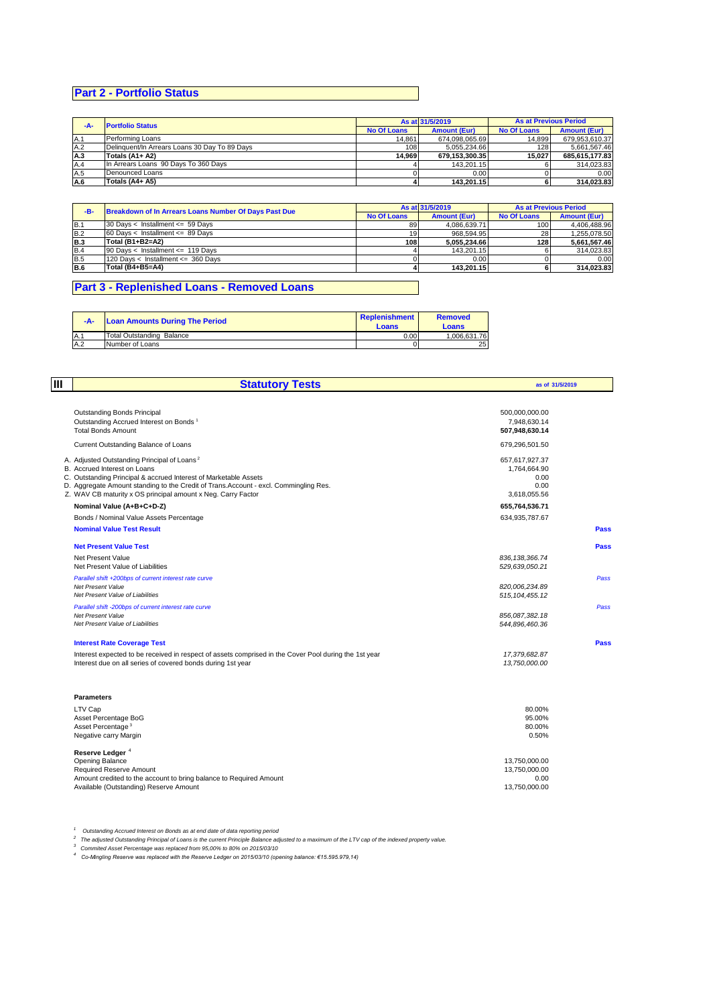# **Part 2 - Portfolio Status**

| $-A-$ | <b>Portfolio Status</b>                       |                    | As at 31/5/2019     | <b>As at Previous Period</b> |                     |
|-------|-----------------------------------------------|--------------------|---------------------|------------------------------|---------------------|
|       |                                               | <b>No Of Loans</b> | <b>Amount (Eur)</b> | <b>No Of Loans</b>           | <b>Amount (Eur)</b> |
| A.1   | Performing Loans                              | 14.861             | 674.098.065.69      | 14.899                       | 679.953.610.37      |
| A.2   | Delinquent/In Arrears Loans 30 Day To 89 Days | 108                | 5.055.234.66        | 128                          | 5.661.567.46        |
| A.3   | Totals (A1+ A2)                               | 14.969             | 679.153.300.35      | 15.027                       | 685.615.177.83      |
| A.4   | In Arrears Loans 90 Days To 360 Days          |                    | 143.201.15          |                              | 314.023.83          |
| A.5   | Denounced Loans                               |                    | 0.00                |                              | 0.00                |
| A.6   | Totals (A4+ A5)                               |                    | 143.201.15          |                              | 314.023.83          |

| -в-        | Breakdown of In Arrears Loans Number Of Days Past Due |                    | As at 31/5/2019     | <b>As at Previous Period</b> |                     |  |
|------------|-------------------------------------------------------|--------------------|---------------------|------------------------------|---------------------|--|
|            |                                                       | <b>No Of Loans</b> | <b>Amount (Eur)</b> | <b>No Of Loans</b>           | <b>Amount (Eur)</b> |  |
| B.1        | 30 Days < Installment <= 59 Days                      | 89                 | 4.086.639.71        | 100                          | 4.406.488.96        |  |
| <b>B.2</b> | $60$ Days < Installment <= 89 Days                    | 19 <sub>l</sub>    | 968.594.95          | 28                           | 1.255.078.50        |  |
| <b>B.3</b> | Total (B1+B2=A2)                                      | 108 <sup>1</sup>   | 5.055.234.66        | 128                          | 5.661.567.46        |  |
| B.4        | 90 Days < Installment <= 119 Days                     |                    | 143.201.15          |                              | 314.023.83          |  |
| B.5        | 120 Days < Installment <= 360 Days                    |                    | 0.00                |                              | 0.00                |  |
| B.6        | Total (B4+B5=A4)                                      |                    | 143.201.15          |                              | 314.023.83          |  |

# **Part 3 - Replenished Loans - Removed Loans**

| $-A-$ | <b>Loan Amounts During The Period</b> | Replenishment<br>Loans | <b>Removed</b><br>Loans |
|-------|---------------------------------------|------------------------|-------------------------|
| IA.   | <b>Total Outstanding Balance</b>      | 0.00                   | 1.006.631.76            |
| A.2   | Number of Loans                       |                        | 25                      |

| Ш | <b>Statutory Tests</b>                                                                                                                                                                                                                                                                                               |                                                                | as of 31/5/2019 |  |
|---|----------------------------------------------------------------------------------------------------------------------------------------------------------------------------------------------------------------------------------------------------------------------------------------------------------------------|----------------------------------------------------------------|-----------------|--|
|   | <b>Outstanding Bonds Principal</b><br>Outstanding Accrued Interest on Bonds <sup>1</sup><br><b>Total Bonds Amount</b>                                                                                                                                                                                                | 500,000,000.00<br>7,948,630.14<br>507,948,630.14               |                 |  |
|   | Current Outstanding Balance of Loans                                                                                                                                                                                                                                                                                 | 679,296,501.50                                                 |                 |  |
|   | A. Adjusted Outstanding Principal of Loans <sup>2</sup><br>B. Accrued Interest on Loans<br>C. Outstanding Principal & accrued Interest of Marketable Assets<br>D. Aggregate Amount standing to the Credit of Trans. Account - excl. Commingling Res.<br>Z. WAV CB maturity x OS principal amount x Neg. Carry Factor | 657,617,927.37<br>1,764,664.90<br>0.00<br>0.00<br>3,618,055.56 |                 |  |
|   | Nominal Value (A+B+C+D-Z)                                                                                                                                                                                                                                                                                            | 655,764,536.71                                                 |                 |  |
|   | Bonds / Nominal Value Assets Percentage                                                                                                                                                                                                                                                                              | 634,935,787.67                                                 |                 |  |
|   | <b>Nominal Value Test Result</b>                                                                                                                                                                                                                                                                                     |                                                                | <b>Pass</b>     |  |
|   | <b>Net Present Value Test</b><br>Net Present Value<br>Net Present Value of Liabilities                                                                                                                                                                                                                               | 836, 138, 366.74<br>529,639,050.21                             | <b>Pass</b>     |  |
|   | Parallel shift +200bps of current interest rate curve<br><b>Net Present Value</b><br>Net Present Value of Liabilities                                                                                                                                                                                                | 820,006,234.89<br>515, 104, 455.12                             | Pass            |  |
|   | Parallel shift -200bps of current interest rate curve<br><b>Net Present Value</b><br>Net Present Value of Liabilities                                                                                                                                                                                                | 856,087,382.18<br>544,896,460.36                               | Pass            |  |
|   | <b>Interest Rate Coverage Test</b>                                                                                                                                                                                                                                                                                   |                                                                | <b>Pass</b>     |  |
|   | Interest expected to be received in respect of assets comprised in the Cover Pool during the 1st year<br>Interest due on all series of covered bonds during 1st year                                                                                                                                                 | 17,379,682.87<br>13,750,000.00                                 |                 |  |
|   | <b>Parameters</b>                                                                                                                                                                                                                                                                                                    |                                                                |                 |  |
|   | LTV Cap<br>Asset Percentage BoG<br>Asset Percentage <sup>3</sup><br>Negative carry Margin                                                                                                                                                                                                                            | 80.00%<br>95.00%<br>80.00%<br>0.50%                            |                 |  |
|   |                                                                                                                                                                                                                                                                                                                      |                                                                |                 |  |
|   | Reserve Ledger <sup>4</sup><br>Opening Balance<br>Required Reserve Amount<br>Amount credited to the account to bring balance to Required Amount                                                                                                                                                                      | 13,750,000.00<br>13,750,000.00<br>0.00                         |                 |  |
|   | Available (Outstanding) Reserve Amount                                                                                                                                                                                                                                                                               | 13.750.000.00                                                  |                 |  |

<sup>1</sup> Outstanding Accrued Interest on Bonds as at end date of data reporting period<br><sup>2</sup> The adjusted Outstanding Principal of Loans is the current Principle Balance adjusted to a maximum of the LTV cap of the indexed proper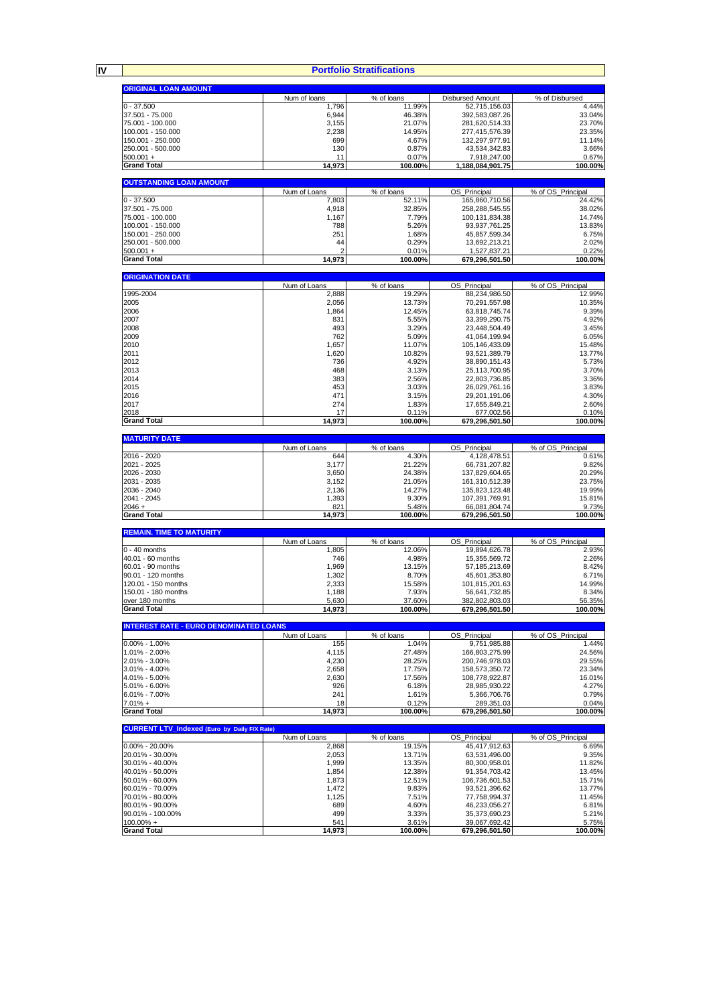|                                                     |                       | <b>Portfolio Stratifications</b>   |                                   |                                    |
|-----------------------------------------------------|-----------------------|------------------------------------|-----------------------------------|------------------------------------|
| <b>ORIGINAL LOAN AMOUNT</b>                         |                       |                                    |                                   |                                    |
| $0 - 37.500$                                        | Num of loans<br>1,796 | % of loans<br>11.99%               | Disbursed Amount<br>52,715,156.03 | % of Disbursed                     |
| 37.501 - 75.000                                     | 6,944                 | 46.38%                             | 392,583,087.26                    | 33.04%                             |
|                                                     |                       |                                    |                                   |                                    |
| 75.001 - 100.000                                    | 3,155                 | 21.07%                             | 281,620,514.33                    | 23.70%                             |
| 100.001 - 150.000                                   | 2,238                 | 14.95%                             | 277,415,576.39                    | 23.35%                             |
| 150.001 - 250.000                                   | 699                   | 4.67%                              | 132,297,977.91                    | 11.14%                             |
| 250.001 - 500.000                                   | 130                   | 0.87%                              | 43,534,342.83                     | 3.66%                              |
| $500.001 +$                                         | 11                    | 0.07%                              | 7,918,247.00                      | 0.67%                              |
| <b>Grand Total</b>                                  | 14,973                | 100.00%                            | 1,188,084,901.75                  | 100.00%                            |
| <b>OUTSTANDING LOAN AMOUNT</b>                      |                       |                                    |                                   |                                    |
|                                                     | Num of Loans          | $\overline{\%}$ of loans<br>52.11% | OS Principal                      | % of OS Principal                  |
| $0 - 37.500$                                        | 7,803                 |                                    | 165,860,710.56                    | 24.42%                             |
| 37.501 - 75.000                                     | 4,918                 | 32.85%                             | 258,288,545.55                    | 38.02%                             |
| 75.001 - 100.000                                    | 1,167                 | 7.79%                              | 100,131,834.38                    | 14.74%                             |
| 100.001 - 150.000                                   | 788                   | 5.26%                              | 93, 937, 761. 25                  | 13.83%                             |
| 150.001 - 250.000                                   | 251                   | 1.68%                              | 45,857,599.34                     | 6.75%                              |
| 250.001 - 500.000                                   | 44                    | 0.29%                              | 13,692,213.21                     | 2.02%                              |
| $500.001 +$                                         |                       | 0.01%                              | 1,527,837.21                      | 0.22%                              |
| <b>Grand Total</b>                                  | 14,973                | 100.00%                            | 679,296,501.50                    | 100.00%                            |
| <b>ORIGINATION DATE</b>                             |                       |                                    |                                   |                                    |
|                                                     | Num of Loans          | % of loans                         | OS_Principal                      | % of OS_Principal                  |
| 1995-2004                                           | 2,888                 | 19.29%                             | 88,234,986.50                     | 12.99%                             |
| 2005                                                | 2,056                 | 13.73%                             | 70,291,557.98                     | 10.35%                             |
| 2006                                                | 1,864                 | 12.45%                             | 63,818,745.74                     | 9.39%                              |
| 2007                                                | 831                   | 5.55%                              | 33,399,290.75                     | 4.92%                              |
| 2008                                                | 493                   | 3.29%                              | 23,448,504.49                     | 3.45%                              |
| 2009                                                | 762                   | 5.09%                              | 41,064,199.94                     | 6.05%                              |
| 2010                                                | 1,657                 | 11.07%                             | 105,146,433.09                    | 15.48%                             |
| 2011                                                | 1,620                 | 10.82%                             | 93,521,389.79                     | 13.77%                             |
| 2012                                                | 736                   | 4.92%                              | 38,890,151.43                     | 5.73%                              |
|                                                     |                       |                                    |                                   |                                    |
| 2013                                                | 468                   | 3.13%                              | 25, 113, 700. 95                  | 3.70%                              |
| 2014                                                | 383                   | 2.56%                              | 22,803,736.85                     | 3.36%                              |
| 2015                                                | 453                   | 3.03%                              | 26,029,761.16                     | 3.83%                              |
| 2016                                                | 471                   | 3.15%                              | 29,201,191.06                     | 4.30%                              |
| 2017                                                | 274                   | 1.83%                              | 17,655,849.21                     | 2.60%                              |
| 2018                                                | 17                    | 0.11%                              | 677,002.56                        | 0.10%                              |
| <b>Grand Total</b>                                  | 14,973                | 100.00%                            | 679,296,501.50                    | 100.00%                            |
| <b>MATURITY DATE</b>                                |                       |                                    |                                   |                                    |
|                                                     | Num of Loans          | % of loans                         | OS_Principal                      | % of OS_Principal                  |
| 2016 - 2020                                         | 644                   | 4.30%                              | 4,128,478.51                      | 0.61%                              |
| 2021 - 2025                                         | 3,177                 | 21.22%                             | 66,731,207.82                     | 9.82%                              |
| 2026 - 2030                                         | 3,650                 | 24.38%                             | 137,829,604.65                    | 20.29%                             |
| 2031 - 2035                                         | 3,152                 | 21.05%                             | 161,310,512.39                    | 23.75%                             |
| 2036 - 2040                                         | 2,136                 | 14.27%                             | 135,823,123.48                    | 19.99%                             |
| 2041 - 2045                                         | 1,393                 | 9.30%                              | 107,391,769.91                    | 15.81%                             |
| $2046 +$                                            | 821                   | 5.48%                              | 66,081,804.74                     | 9.73%                              |
| <b>Grand Total</b>                                  | 14,973                | 100.00%                            | 679,296,501.50                    | 100.00%                            |
| <b>REMAIN. TIME TO MATURITY</b>                     | Num of Loans          | % of loans                         | OS_Principal                      | % of OS_Principal                  |
| $0 - 40$ months                                     | 1,805                 | 12.06%                             | 19,894,626.78                     | 2.93%                              |
| 40.01 - 60 months                                   | 746                   | 4.98%                              | 15,355,569.72                     | 2.26%                              |
|                                                     |                       |                                    |                                   |                                    |
| 60.01 - 90 months<br>90.01 - 120 months             | 1,969                 | 13.15%                             | 57, 185, 213.69                   | 8.42%                              |
|                                                     | 1,302                 | 8.70%                              | 45,601,353.80                     | 6.71%                              |
| 120.01 - 150 months                                 | 2,333                 | 15.58%                             | 101,815,201.63                    | 14.99%                             |
| 150.01 - 180 months                                 | 1.188                 | 7.93%                              | 56,641,732.85                     | 8.34%                              |
| over 180 months<br><b>Grand Total</b>               | 5,630                 | 37.60%                             | 382,802,803.03                    | 56.35%<br>100.00%                  |
|                                                     | 14,973                | 100.00%                            | 679,296,501.50                    |                                    |
| <b>INTEREST RATE - EURO DENOMINATED LOANS</b>       | Num of Loans          |                                    |                                   | % of OS Principal                  |
| $0.00\% - 1.00\%$                                   | 155                   | % of loans<br>1.04%                | OS Principal<br>9,751,985.88      | 1.44%                              |
| 1.01% - 2.00%                                       | 4,115                 | 27.48%                             | 166,803,275.99                    | 24.56%                             |
| 2.01% - 3.00%                                       | 4,230                 | 28.25%                             | 200,746,978.03                    | 29.55%                             |
| 3.01% - 4.00%                                       | 2,658                 | 17.75%                             | 158,573,350.72                    | 23.34%                             |
| 4.01% - 5.00%                                       | 2,630                 | 17.56%                             | 108,778,922.87                    | 16.01%                             |
| 5.01% - 6.00%                                       | 926                   | 6.18%                              |                                   | 4.27%                              |
| $6.01\% - 7.00\%$                                   |                       | 1.61%                              | 28,985,930.22                     |                                    |
|                                                     | 241                   |                                    | 5,366,706.76                      | 0.79%<br>0.04%                     |
| $7.01% +$<br><b>Grand Total</b>                     | 18<br>14,973          | 0.12%<br>100.00%                   | 289,351.03<br>679,296,501.50      | 100.00%                            |
| <b>CURRENT LTV_Indexed (Euro by Daily F/X Rate)</b> |                       |                                    |                                   |                                    |
|                                                     | Num of Loans          | % of loans                         | OS_Principal                      | % of OS Principal                  |
| $0.00\% - 20.00\%$                                  | 2,868                 | 19.15%                             | 45,417,912.63                     | 6.69%                              |
| 20.01% - 30.00%                                     | 2,053                 | 13.71%                             | 63,531,496.00                     | 9.35%                              |
| 30.01% - 40.00%                                     | 1,999                 | 13.35%                             | 80,300,958.01                     | 11.82%                             |
|                                                     | 1,854                 | 12.38%                             | 91,354,703.42                     | 13.45%                             |
| 40.01% - 50.00%                                     |                       | 12.51%                             | 106,736,601.53                    | 15.71%                             |
|                                                     |                       |                                    |                                   |                                    |
| 50.01% - 60.00%                                     | 1,873                 |                                    |                                   |                                    |
| 60.01% - 70.00%                                     | 1,472                 | 9.83%                              | 93,521,396.62                     |                                    |
| 70.01% - 80.00%                                     | 1,125                 | 7.51%                              | 77,758,994.37                     |                                    |
| 80.01% - 90.00%                                     | 689                   | 4.60%                              | 46,233,056.27                     |                                    |
| 90.01% - 100.00%                                    | 499                   | 3.33%                              | 35,373,690.23                     | 13.77%<br>11.45%<br>6.81%<br>5.21% |
| $100.00\% +$<br><b>Grand Total</b>                  | 541<br>14,973         | 3.61%<br>100.00%                   | 39,067,692.42<br>679,296,501.50   | 5.75%<br>100.00%                   |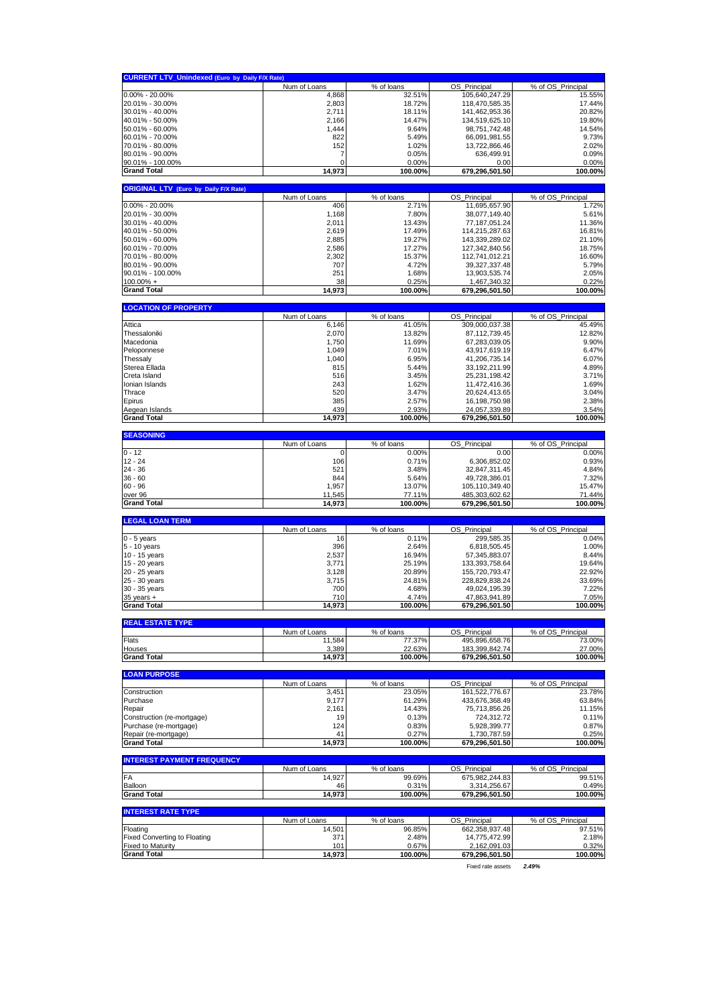| <b>CURRENT LTV_Unindexed (Euro by Daily F/X Rate)</b> |                        |                      |                                    |                             |
|-------------------------------------------------------|------------------------|----------------------|------------------------------------|-----------------------------|
|                                                       | Num of Loans           | % of loans           | OS_Principal                       | % of OS_Principal           |
| $0.00\% - 20.00\%$                                    | 4,868                  | 32.51%               | 105,640,247.29                     | 15.55%                      |
| 20.01% - 30.00%                                       | 2,803                  | 18.72%               | 118,470,585.35                     | 17.44%                      |
| 30.01% - 40.00%<br>40.01% - 50.00%                    | 2,711                  | 18.11%<br>14.47%     | 141,462,953.36                     | 20.82%                      |
| 50.01% - 60.00%                                       | 2,166<br>1,444         | 9.64%                | 134,519,625.10<br>98,751,742.48    | 19.80%<br>14.54%            |
| 60.01% - 70.00%                                       | 822                    | 5.49%                | 66,091,981.55                      | 9.73%                       |
| 70.01% - 80.00%                                       | 152                    | 1.02%                | 13,722,866.46                      | 2.02%                       |
| 80.01% - 90.00%                                       | 7                      | 0.05%                | 636,499.91                         | 0.09%                       |
| 90.01% - 100.00%                                      | 0                      | 0.00%                | 0.00                               | 0.00%                       |
| <b>Grand Total</b>                                    | 14,973                 | 100.00%              | 679,296,501.50                     | 100.00%                     |
|                                                       |                        |                      |                                    |                             |
| <b>ORIGINAL LTV (Euro by Daily F/X Rate)</b>          | Num of Loans           | % of loans           | OS_Principal                       | % of OS_Principal           |
| $0.00\% - 20.00\%$                                    | 406                    | 2.71%                | 11,695,657.90                      | 1.72%                       |
| 20.01% - 30.00%                                       | 1,168                  | 7.80%                | 38,077,149.40                      | 5.61%                       |
| 30.01% - 40.00%                                       | 2,011                  | 13.43%               | 77, 187, 051.24                    | 11.36%                      |
| 40.01% - 50.00%                                       | 2,619                  | 17.49%               | 114,215,287.63                     | 16.81%                      |
| 50.01% - 60.00%                                       | 2,885                  | 19.27%               | 143,339,289.02                     | 21.10%                      |
| 60.01% - 70.00%                                       | 2,586                  | 17.27%               | 127,342,840.56                     | 18.75%                      |
| 70.01% - 80.00%<br>80.01% - 90.00%                    | 2,302<br>707           | 15.37%<br>4.72%      | 112,741,012.21<br>39, 327, 337. 48 | 16.60%<br>5.79%             |
| 90.01% - 100.00%                                      | 251                    | 1.68%                | 13,903,535.74                      | 2.05%                       |
| $100.00\% +$                                          | 38                     | 0.25%                | 1,467,340.32                       | 0.22%                       |
| <b>Grand Total</b>                                    | 14,973                 | 100.00%              | 679,296,501.50                     | 100.00%                     |
|                                                       |                        |                      |                                    |                             |
| <b>LOCATION OF PROPERTY</b>                           |                        | % of loans           |                                    |                             |
| Attica                                                | Num of Loans<br>6,146  | 41.05%               | OS_Principal<br>309,000,037.38     | % of OS_Principal<br>45.49% |
| Thessaloniki                                          | 2,070                  | 13.82%               | 87,112,739.45                      | 12.82%                      |
| Macedonia                                             | 1,750                  | 11.69%               | 67,283,039.05                      | 9.90%                       |
| Peloponnese                                           | 1,049                  | 7.01%                | 43,917,619.19                      | 6.47%                       |
| Thessaly                                              | 1,040                  | 6.95%                | 41,206,735.14                      | 6.07%                       |
| Sterea Ellada                                         | 815                    | 5.44%                | 33, 192, 211.99                    | 4.89%                       |
| Creta Island                                          | 516                    | 3.45%                | 25,231,198.42                      | 3.71%                       |
| Ionian Islands                                        | 243                    | 1.62%                | 11,472,416.36                      | 1.69%                       |
| Thrace                                                | 520                    | 3.47%                | 20,624,413.65                      | 3.04%                       |
| Epirus                                                | 385                    | 2.57%                | 16,198,750.98                      | 2.38%                       |
| Aegean Islands<br><b>Grand Total</b>                  | 439<br>14.973          | 2.93%<br>100.00%     | 24,057,339.89<br>679,296,501.50    | 3.54%<br>100.00%            |
|                                                       |                        |                      |                                    |                             |
| <b>SEASONING</b>                                      |                        |                      |                                    |                             |
| $0 - 12$                                              | Num of Loans<br>0      | % of loans<br>0.00%  | OS_Principal<br>0.00               | % of OS_Principal<br>0.00%  |
| $12 - 24$                                             | 106                    | 0.71%                | 6,306,852.02                       | 0.93%                       |
| $24 - 36$                                             | 521                    | 3.48%                | 32,847,311.45                      | 4.84%                       |
| $36 - 60$                                             | 844                    | 5.64%                | 49,728,386.01                      | 7.32%                       |
| $60 - 96$                                             | 1,957                  | 13.07%               | 105,110,349.40                     | 15.47%                      |
| over 96                                               | 11,545                 | 77.11%               | 485,303,602.62                     | 71.44%                      |
| <b>Grand Total</b>                                    | 14,973                 | 100.00%              | 679,296,501.50                     | 100.00%                     |
| <b>LEGAL LOAN TERM</b>                                |                        |                      |                                    |                             |
|                                                       | Num of Loans           | % of loans           | OS_Principal                       | % of OS_Principal           |
| $0 - 5$ vears                                         | 16                     | 0.11%                | 299,585.35                         | 0.04%                       |
| 5 - 10 years                                          | 396                    | 2.64%                | 6,818,505.45                       | 1.00%                       |
| 10 - 15 years<br>15 - 20 years                        | 2,537<br>3,771         | 16.94%<br>25.19%     | 57,345,883.07<br>133,393,758.64    | 8.44%<br>19.64%             |
| 20 - 25 years                                         | 3,128                  | 20.89%               | 155,720,793.47                     | 22.92%                      |
| 25 - 30 years                                         | 3,715                  | 24.81%               | 228,829,838.24                     | 33.69%                      |
| 30 - 35 years                                         | 700                    | 4.68%                | 49,024,195.39                      | 7.22%                       |
| $35$ years $+$                                        | 710                    | 4.74%                | 47,863,941.89                      | 7.05%                       |
| <b>Grand Total</b>                                    | 14,973                 | 100.00%              | 679,296,501.50                     | 100.00%                     |
| <b>REAL ESTATE TYPE</b>                               |                        |                      |                                    |                             |
|                                                       | Num of Loans           | % of loans           | OS_Principal                       | % of OS Principal           |
| Flats                                                 | 11,584                 | 77.37%               | 495,896,658.76                     | 73.00%                      |
| Houses<br><b>Grand Total</b>                          | 3,389<br>14,973        | 22.63%<br>100.00%    | 183,399,842.74<br>679,296,501.50   | 27.00%<br>100.00%           |
|                                                       |                        |                      |                                    |                             |
| <b>LOAN PURPOSE</b>                                   |                        |                      |                                    |                             |
|                                                       | Num of Loans           | % of loans           | OS_Principal                       | % of OS_Principal           |
| Construction<br>Purchase                              | 3,451<br>9,177         | 23.05%<br>61.29%     | 161.522.776.67<br>433,676,368.49   | 23.78%<br>63.84%            |
| Repair                                                | 2,161                  | 14.43%               | 75,713,856.26                      | 11.15%                      |
| Construction (re-mortgage)                            | 19                     | 0.13%                | 724,312.72                         | 0.11%                       |
| Purchase (re-mortgage)                                | 124                    | 0.83%                | 5,928,399.77                       | 0.87%                       |
| Repair (re-mortgage)                                  | 41                     | 0.27%                | 1,730,787.59                       | 0.25%                       |
| <b>Grand Total</b>                                    | 14,973                 | 100.00%              | 679,296,501.50                     | 100.00%                     |
| <b>INTEREST PAYMENT FREQUENCY</b>                     |                        |                      |                                    |                             |
|                                                       | Num of Loans           | % of loans           | OS Principal                       | % of OS Principal           |
| FA                                                    | 14,927                 | 99.69%               | 675,982,244.83                     | 99.51%                      |
| <b>Balloon</b><br><b>Grand Total</b>                  | 46<br>14,973           | 0.31%<br>100.00%     | 3,314,256.67<br>679,296,501.50     | 0.49%<br>100.00%            |
|                                                       |                        |                      |                                    |                             |
| <b>INTEREST RATE TYPE</b>                             |                        |                      |                                    |                             |
| Floating                                              | Num of Loans<br>14,501 | % of loans<br>96.85% | OS_Principal<br>662,358,937.48     | % of OS_Principal<br>97.51% |
| <b>Fixed Converting to Floating</b>                   | 371                    | 2.48%                | 14,775,472.99                      | 2.18%                       |
| <b>Fixed to Maturity</b>                              | 101                    | 0.67%                | 2,162,091.03                       | 0.32%                       |
| <b>Grand Total</b>                                    | 14,973                 | 100.00%              | 679,296,501.50                     | 100.00%                     |
|                                                       |                        |                      | Fixed rate assets                  | 2.49%                       |